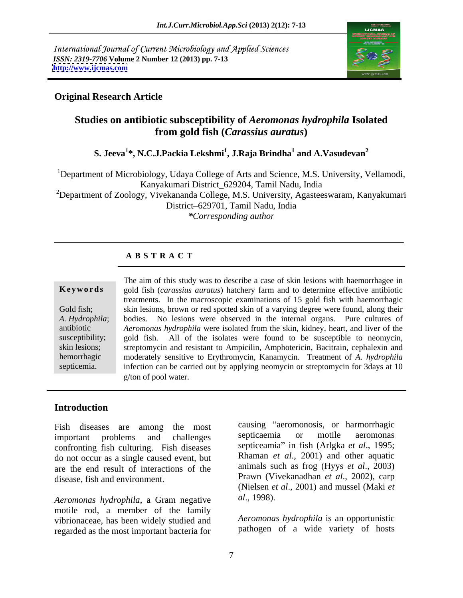International Journal of Current Microbiology and Applied Sciences *ISSN: 2319-7706* **Volume 2 Number 12 (2013) pp. 7-13 <http://www.ijcmas.com>**



### **Original Research Article**

### **Studies on antibiotic subsceptibility of** *Aeromonas hydrophila* **Isolated from gold fish (***Carassius auratus***)**

#### ${\bf S. \,\, Jeeva}^{1*}, {\bf N. C. J.}$ Packia Lekshmi $^1$ , J.Raja Brindha $^1$  and A.Vasudevan $^2$  **and A.Vasudevan<sup>2</sup>**

<sup>1</sup>Department of Microbiology, Udaya College of Arts and Science, M.S. University, Vellamodi, Kanyakumari District\_629204, Tamil Nadu, India

<sup>2</sup>Department of Zoology, Vivekananda College, M.S. University, Agasteeswaram, Kanyakumari District 629701, Tamil Nadu, India

*\*Corresponding author* 

### **A B S T R A C T**

**Ke ywo rds** gold fish (*carassius auratus*) hatchery farm and to determine effective antibiotic Gold fish; skin lesions, brown or red spotted skin of a varying degree were found, along their *A. Hydrophila*; bodies. No lesions were observed in the internal organs. Pure cultures of antibiotic *Aeromonas hydrophila* were isolated from the skin, kidney, heart, and liver of the susceptibility; gold fish. All of the isolates were found to be susceptible to neomycin, skin lesions; streptomycin and resistant to Ampicilin, Amphotericin, Bacitrain, cephalexin and hemorrhagic moderately sensitive to Erythromycin, Kanamycin. Treatment of *A. hydrophila* septicemia. infection can be carried out by applying neomycin or streptomycin for 3days at 10 The aim of this study was to describe a case of skin lesions with haemorrhagee in treatments. In the macroscopic examinations of 15 gold fish with haemorrhagic g/ton of pool water.

### **Introduction**

Fish diseases are among the most causing aeromonosis, or harmorrhagic<br>important problems and challenges septicaemia or motile aeromonas confronting fish culturing. Fish diseases do not occur as a single caused event, but are the end result of interactions of the

*Aeromonas hydrophila*, a Gram negative motile rod, a member of the family vibrionaceae, has been widely studied and regarded as the most important bacteria for

important problems and challenges disease, fish and environment. Prawn (Vivekanadhan *et al.*, 2002), carp causing "aeromonosis, or harmorrhagic septicaemia or motile aeromonas septiceamia" in fish (Arlgka *et al.*, 1995; Rhaman *et al*., 2001) and other aquatic animals such as frog (Hyys *et al*., 2003) (Nielsen *et al*., 2001) and mussel (Maki *et al*., 1998).

> *Aeromonas hydrophila* is an opportunistic pathogen of a wide variety of hosts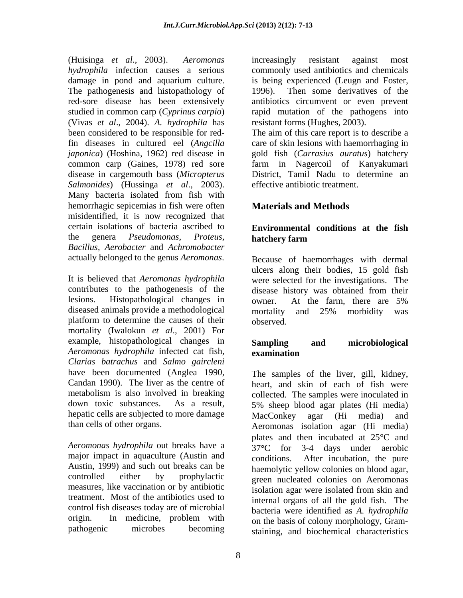(Huisinga *et al*., 2003). *Aeromonas hydrophila* infection causes a serious commonly used antibiotics and chemicals damage in pond and aquarium culture. The pathogenesis and histopathology of 1996). red-sore disease has been extensively studied in common carp (*Cyprinus carpio*) rapid mutation of the pathogens into (Vivas *et al*., 2004). *A. hydrophila* has been considered to be responsible for reddisease in cargemouth bass (*Micropterus Salmonides*) (Hussinga *et al*., 2003). Many bacteria isolated from fish with hemorrhagic sepicemias in fish were often misidentified, it is now recognized that certain isolations of bacteria ascribed to **Environmental conditions at the fish** the genera *Pseudomonas, Proteus, Bacillus, Aerobacter* and *Achromobacter*  actually belonged to the genus *Aeromonas*.

It is believed that *Aeromonas hydrophila* were selected for the investigations. The contributes to the pathogenesis of the lesions. Histopathological changes in owner. At the farm, there are 5% diseased animals provide a methodological mortality and 25% morbidity was platform to determine the causes of their observed. mortality (Iwalokun *et al*., 2001) For example, histopathological changes in Sampling and microbiological *Aeromonas hydrophila* infected cat fish, *Clarias batrachus* and *Salmo gaircleni* hepatic cells are subjected to more damage MacConkey agar (Hi media) and

*Aeromonas hydrophila* out breaks have a major impact in aquaculture (Austin and Austin, 1999) and such out breaks can be measures, like vaccination or by antibiotic treatment. Most of the antibiotics used to control fish diseases today are of microbial

increasingly resistant against most is being experienced (Leugn and Foster, Then some derivatives of the antibiotics circumvent or even prevent resistant forms (Hughes, 2003).

fin diseases in cultured eel (*Angcilla*  care of skin lesions with haemorrhaging in *japonica*) (Hoshina, 1962) red disease in gold fish (*Carrasius auratus*) hatchery common carp (Gaines, 1978) red sore farm in Nagercoil of Kanyakumari The aim of this care report is to describe a District, Tamil Nadu to determine an effective antibiotic treatment.

### **Materials and Methods**

# **hatchery farm**

Because of haemorrhages with dermal ulcers along their bodies, 15 gold fish disease history was obtained from their owner. At the farm, there are 5% mortality and 25% morbidity was observed.

### **Sampling and microbiological examination**

have been documented (Anglea 1990, The samples of the liver, gill, kidney, Candan 1990). The liver as the centre of heart, and skin of each of fish were metabolism is also involved in breaking collected. The samples were inoculated in down toxic substances. As a result, 5% sheep blood agar plates (Hi media) than cells of other organs. Aeromonas isolation agar (Hi media) controlled either by prophylactic green nucleated colonies on Aeromonas origin. In medicine, problem with  $\alpha$  on the basis of colony morphology  $\alpha$ pathogenic microbes becoming staining, and biochemical characteristics MacConkey agar (Hi media) and plates and then incubated at 25 °C and 37<sup>o</sup>C for 3-4 days under aerobic conditions. After incubation, the pure haemolytic yellow colonies on blood agar, isolation agar were isolated from skin and internal organs of all the gold fish. The bacteria were identified as *A. hydrophila* on the basis of colony morphology, Gram-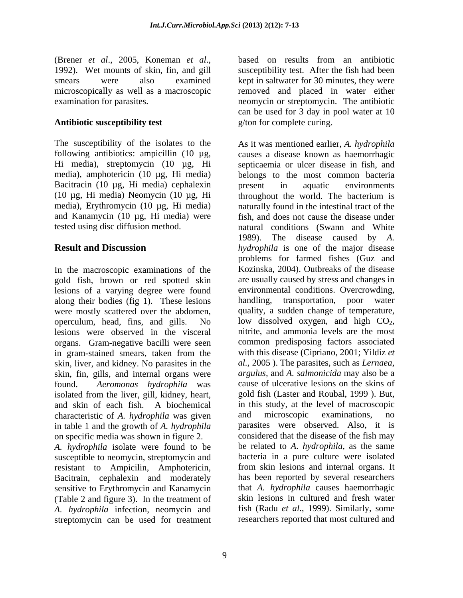#### **Antibiotic susceptibility test**

media), amphotericin (10 µg, Hi media) Bacitracin (10 µg, Hi media) cephalexin present in aquatic environments (10 µg, Hi media) Neomycin (10 µg, Hi media), Erythromycin (10 µg, Hi media)

In the macroscopic examinations of the gold fish, brown or red spotted skin lesions of a varying degree were found along their bodies (fig 1). These lesions were mostly scattered over the abdomen, operculum, head, fins, and gills. No low dissolved oxygen, and high  $CO<sub>2</sub>$ , lesions were observed in the visceral intritie, and ammonia levels are the most lesions were observed in the visceral organs. Gram-negative bacilli were seen in gram-stained smears, taken from the skin, liver, and kidney. No parasites in the skin, fin, gills, and internal organs were found. *Aeromonas hydrophila* was cause of ulcerative lesions on the skins of isolated from the liver, gill, kidney, heart, and skin of each fish. A biochemical in this study, at the characteristic of A. *hydrophila* was given and microscopic characteristic of *A. hydrophila* was given in table 1 and the growth of *A. hydrophila* on specific media was shown in figure 2. *A. hydrophila* isolate were found to be

susceptible to neomycin, streptomycin and resistant to Ampicilin, Amphotericin, Bacitrain, cephalexin and moderately sensitive to Erythromycin and Kanamycin (Table 2 and figure 3). In the treatment of *A. hydrophila* infection, neomycin and streptomycin can be used for treatment

(Brener *et al.*, 2005, Koneman *et al.*, based on results from an antibiotic 1992). Wet mounts of skin, fin, and gill susceptibility test. After the fish had been smears were also examined kept in saltwater for 30 minutes, they were microscopically as well as a macroscopic removed and placed in water either examination for parasites. neomycin or streptomycin. The antibiotic based on results from an antibiotic susceptibility test. After the fish had been can be used for 3 day in pool water at 10 g/ton for complete curing.

The susceptibility of the isolates to the As it was mentioned earlier, *A. hydrophila* following antibiotics: ampicillin (10 µg, causes a disease known as haemorrhagic Hi media), streptomycin (10 µg, Hi septicaemia or ulcer disease in fish, and and Kanamycin (10 µg, Hi media) were fish, and does not cause the disease under tested using disc diffusion method. natural conditions (Swann and White **Result and Discussion** *hydrophila* is one of the major disease belongs to the most common bacteria present in aquatic environments throughout the world. The bacterium is naturally found in the intestinal tract of the 1989). The disease caused by *A.*  problems for farmed fishes (Guz and Kozinska, 2004). Outbreaks of the disease are usually caused by stress and changes in environmental conditions. Overcrowding, handling, transportation, poor water quality, a sudden change of temperature, low dissolved oxygen, and high  $CO<sub>2</sub>$ , nitrite, and ammonia levels are the most common predisposing factors associated with this disease (Cipriano, 2001; Yildiz *et al.,* 2005 ). The parasites, such as *Lernaea, argulus,* and *A. salmonicida* may also be a gold fish (Laster and Roubal, 1999 ). But, in this study, at the level of macroscopic and microscopic examinations, no parasites were observed. Also, it is considered that the disease of the fish may be related to *A*. *hydrophila*, as the same bacteria in a pure culture were isolated from skin lesions and internal organs. It has been reported by several researchers that *A. hydrophila* causes haemorrhagic skin lesions in cultured and fresh water fish (Radu *et al*., 1999). Similarly, some researchers reported that most cultured and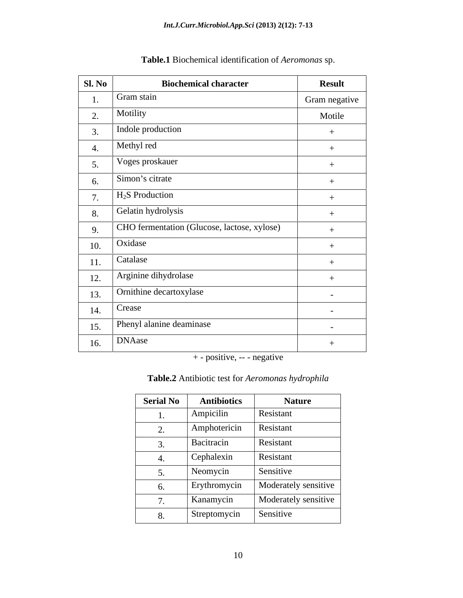| Sl. No | <b>Biochemical character</b>                | <b>Result</b> |
|--------|---------------------------------------------|---------------|
| 1.     | Gram stain                                  | Gram negative |
| 2.     | Motility                                    | Motile        |
| 3.     | Indole production                           |               |
| 4.     | Methyl red                                  |               |
| 5.     | Voges proskauer                             |               |
| 6.     | Simon's citrate                             |               |
| 7.     | $H2S$ Production                            | $^{+}$        |
| 8.     | Gelatin hydrolysis                          | $+$           |
| 9.     | CHO fermentation (Glucose, lactose, xylose) |               |
| 10.    | Oxidase                                     | $+$           |
| 11.    | Catalase                                    |               |
| 12.    | Arginine dihydrolase                        |               |
| 13.    | Ornithine decartoxylase                     | $\sim$        |
| 14.    | Crease                                      | $\sim$        |
| 15.    | Phenyl alanine deaminase                    | $\sim$        |
| 16.    | <b>DNAase</b>                               |               |

## **Table.1** Biochemical identification of *Aeromonas* sp.

+ - positive, -- - negative

#### **Table.2** Antibiotic test for *Aeromonas hydrophila*

| <b>Serial No</b>                   | <b>Antibiotics</b> | <b>Nature</b>        |
|------------------------------------|--------------------|----------------------|
| 1.                                 | Ampicilin          | Resistant            |
| $\sim$<br>$\overline{\phantom{a}}$ | Amphotericin       | Resistant            |
| $\sim$<br>J.                       | Bacitracin         | Resistant            |
| 4.                                 | Cephalexin         | Resistant            |
| J.                                 | Neomycin           | Sensitive            |
| 6.                                 | Erythromycin       | Moderately sensitive |
| $\overline{ }$<br>$\sqrt{ }$ .     | Kanamycin          | Moderately sensitive |
| 8.                                 | Streptomycin       | Sensitive            |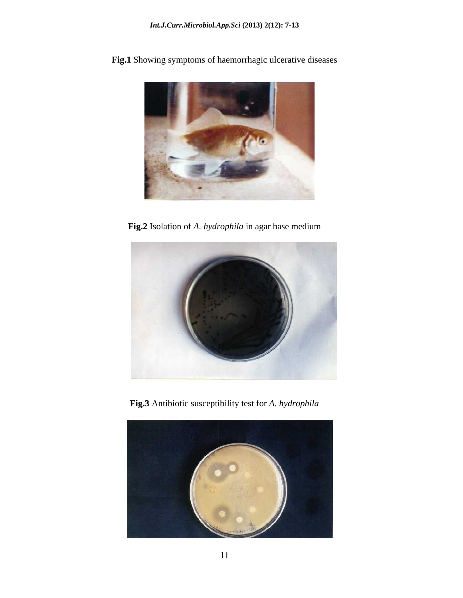**Fig.1** Showing symptoms of haemorrhagic ulcerative diseases



**Fig.2** Isolation of *A. hydrophila* in agar base medium



**Fig.3** Antibiotic susceptibility test for *A. hydrophila*

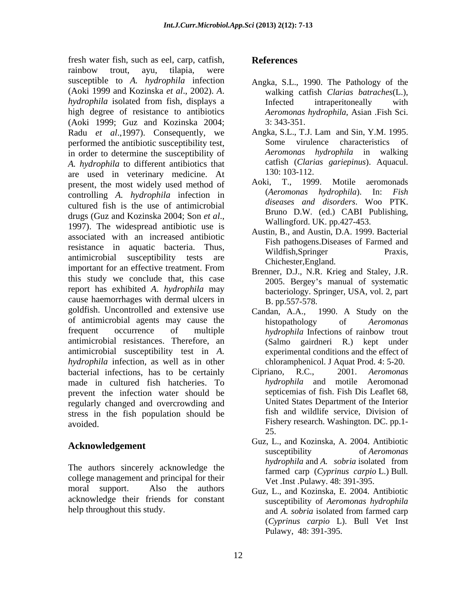fresh water fish, such as eel, carp, catfish, rainbow trout, ayu, tilapia, were susceptible to *A. hydrophila* infection (Aoki 1999 and Kozinska *et al*., 2002). *A*. *hydrophila* isolated from fish, displays a **intervally** intraperitoneally with high degree of resistance to antibiotics (Aoki 1999; Guz and Kozinska 2004; Radu *et al.*, 1997). Consequently, we performed the antibiotic susceptibility test, Some virulence characteristics of in order to determine the susceptibility of *A. hydrophila* to different antibiotics that cattish (Clari<br>
are used in veterinary medicine At 130:103-112. are used in veterinary medicine. At 130:103-112.<br>
are used in veterinary medicine. At 130:103-112.<br>
Aoki, T., 1999. Motile aeromonads present, the most widely used method of Aoki, T., 1999. Motile aeromonads<br> *Aeromonas hydrophila*). In: *Fish* controlling *A. hydrophila* infection in cultured fish is the use of antimicrobial drugs (Guz and Kozinska 2004; Son *et al.*, 1997). The widespread antibiotic use is wallingford. UK. pp.427-453. associated with an increased antibiotic resistance in aquatic bacteria. Thus, Wildfish, Springer Praxis, antimicrobial susceptibility tests are manufactured chichester England important for an effective treatment. From this study we conclude that, this case report has exhibited *A*. *hydrophila* may cause haemorrhages with dermal ulcers in goldfish. Uncontrolled and extensive use Candan, A.A., 1990. A Study on the of antimicrobial agents may cause the histopathology of *Aeromonas* frequent occurrence of multiple *hydrophila* Infections of rainbow trout antimicrobial resistances. Therefore, an antimicrobial susceptibility test in *A. hydrophila* infection, as well as in other bacterial infections, has to be certainly Cipriano, R.C., 2001. Aeromonas made in cultured fish hatcheries. To prevent the infection water should be regularly changed and overcrowding and stress in the fish population should be Fresh varier Fresh, nels acel, collar, carrier enterints and antimostomy of the particular controllation of the Andreja Study in the Barbor of the Andreja Study in the Barbor of the Andreja Study in the Barbor of the Andr

college management and principal for their moral support. Also the authors Guz, L., and Kozinska, E. 2004. Antibiotic acknowledge their friends for constant

- Angka, S.L., 1990. The Pathology of the walking catfish *Clarias batraches*(L.), Infected intraperitoneally with *Aeromonas hydrophila*, Asian .Fish Sci. 3: 343-351.
- Angka, S.L., T.J. Lam and Sin, Y.M. 1995. Some virulence characteristics *Aeromonas hydrophila* in walking catfish (*Clarias gariepinus*). Aquacul. 130: 103-112.
- Aoki, T., 1999. Motile aeromonads (*Aeromonas hydrophila*). In: *Fish diseases and disorders*. Woo PTK. Bruno D.W. (ed.) CABI Publishing, Wallingford. UK. pp.427-453.
- Austin, B., and Austin, D.A. 1999. Bacterial Fish pathogens.Diseases of Farmed and Wildfish, Springer Praxis, Chichester,England.
- Brenner, D.J., N.R. Krieg and Staley, J.R. 2005. Bergey s manual of systematic bacteriology. Springer, USA, vol. 2, part B. pp.557-578.
- Candan, A.A., 1990. A Study on the histopathology of *Aeromonas*  (Salmo gairdneri R.) kept under experimental conditions and the effect of chloramphenicol. J Aquat Prod. 4: 5-20.
- avoided. Fishery research. Washington. DC. pp.1- Cipriano, R.C., 2001. *Aeromonas hydrophila* and motile Aeromonad septicemias of fish. Fish Dis Leaflet 68, United States Department of the Interior fish and wildlife service, Division of 25.
- **Acknowledgement**  $\begin{array}{c} \text{Guz, L., and Nozinska, A. } \text{2004. Anubiotic susceptibility} \\ \text{disceptibility} \\ \text{of } \text{Aeromonas} \end{array}$ The authors sincerely acknowledge the *hydrophila* and *A. sobria* isolated from<br>formed carp  $(G_{\text{untrivial}})$   $\mathbb{R}^{11}$ Guz, L., and Kozinska, A. 2004. Antibiotic susceptibility of *Aeromonas hydrophila* and *A. sobria* isolated from farmed carp (*Cyprinus carpio* L.) Bull*.* Vet .Inst .Pulawy. 48: 391-395.
	- susceptibility of *Aeromonas hydrophila* and *A. sobria* isolated from farmed carp (*Cyprinus carpio* L). Bull Vet Inst Pulawy, 48: 391-395.